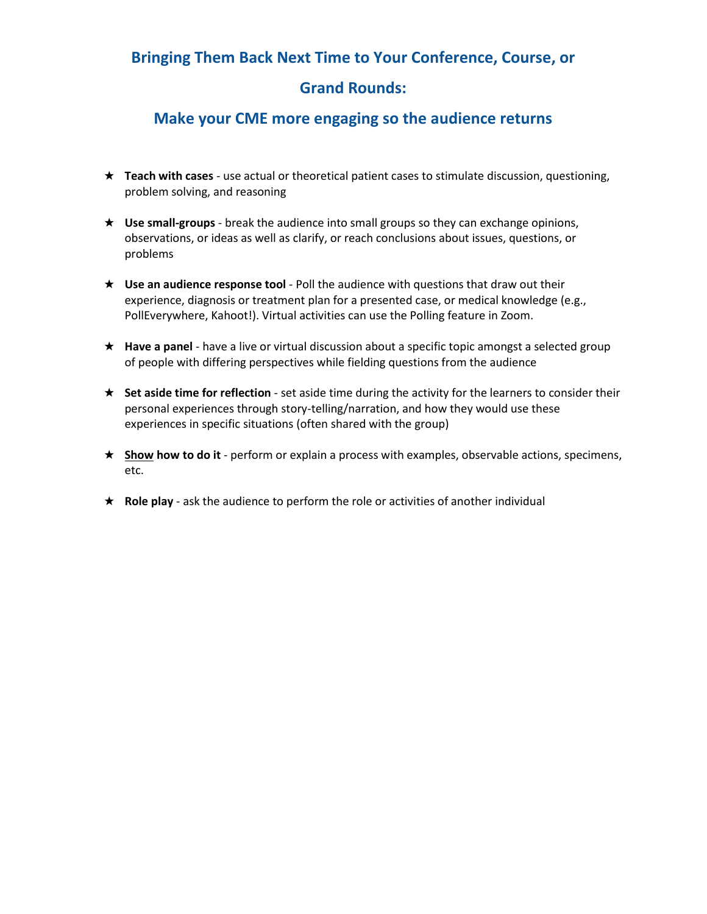# **Bringing Them Back Next Time to Your Conference, Course, or**

# **Grand Rounds:**

# **Make your CME more engaging so the audience returns**

- ★ **Teach with cases**  use actual or theoretical patient cases to stimulate discussion, questioning, problem solving, and reasoning
- ★ **Use small-groups**  break the audience into small groups so they can exchange opinions, observations, or ideas as well as clarify, or reach conclusions about issues, questions, or problems
- ★ **Use an audience response tool** Poll the audience with questions that draw out their experience, diagnosis or treatment plan for a presented case, or medical knowledge (e.g., PollEverywhere, Kahoot!). Virtual activities can use the Polling feature in Zoom.
- ★ **Have a panel** have a live or virtual discussion about a specific topic amongst a selected group of people with differing perspectives while fielding questions from the audience
- ★ **Set aside time for reflection** set aside time during the activity for the learners to consider their personal experiences through story-telling/narration, and how they would use these experiences in specific situations (often shared with the group)
- ★ **Show how to do it** perform or explain a process with examples, observable actions, specimens, etc.
- ★ **Role play**  ask the audience to perform the role or activities of another individual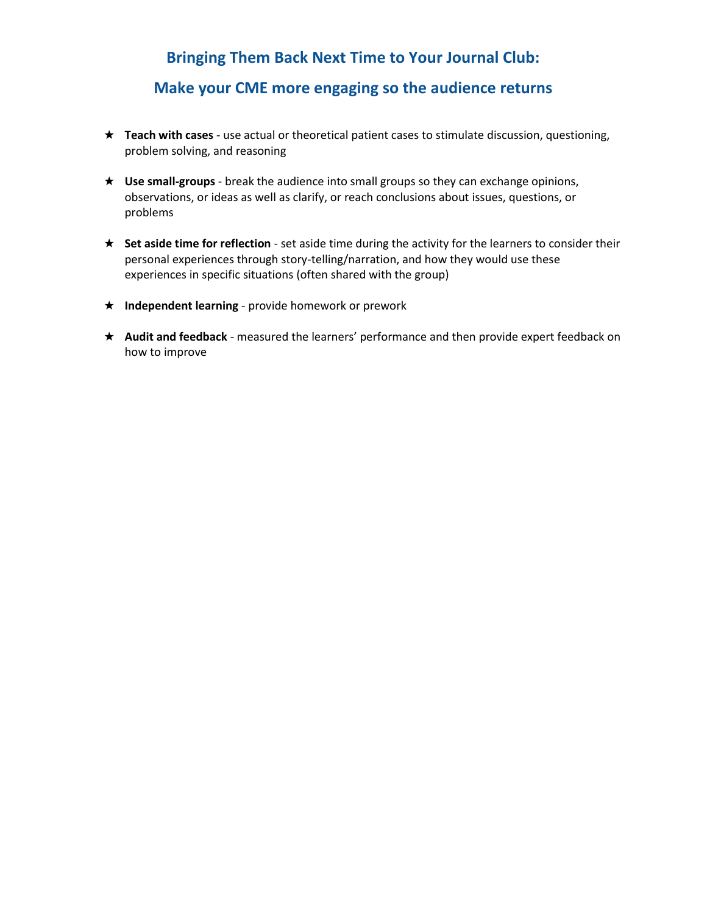## **Bringing Them Back Next Time to Your Journal Club:**

#### **Make your CME more engaging so the audience returns**

- ★ **Teach with cases**  use actual or theoretical patient cases to stimulate discussion, questioning, problem solving, and reasoning
- ★ **Use small-groups**  break the audience into small groups so they can exchange opinions, observations, or ideas as well as clarify, or reach conclusions about issues, questions, or problems
- ★ **Set aside time for reflection** set aside time during the activity for the learners to consider their personal experiences through story-telling/narration, and how they would use these experiences in specific situations (often shared with the group)
- ★ **Independent learning** provide homework or prework
- ★ **Audit and feedback** measured the learners' performance and then provide expert feedback on how to improve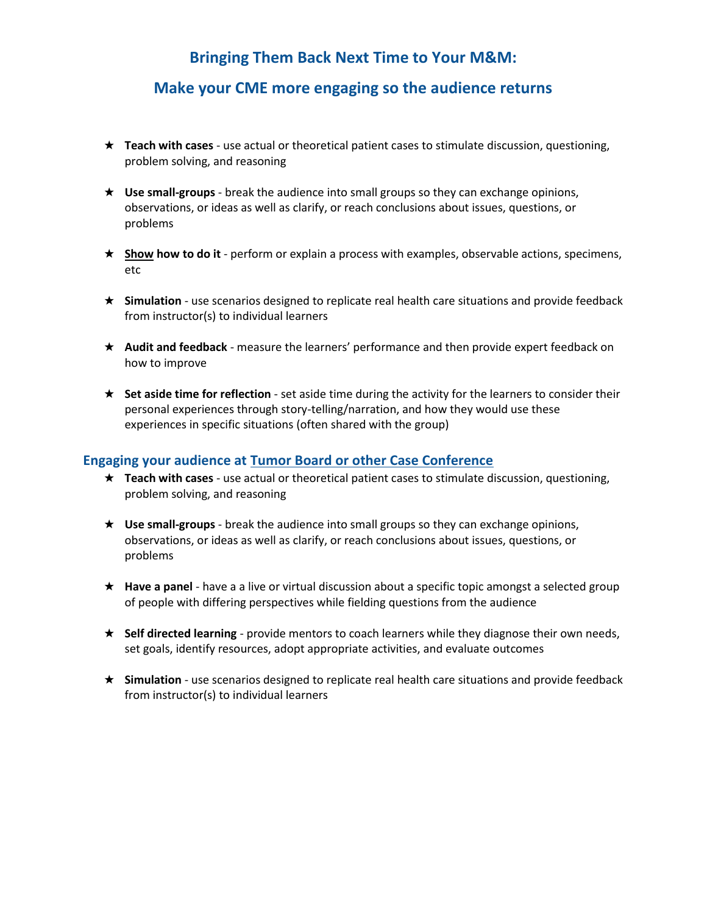## **Bringing Them Back Next Time to Your M&M:**

#### **Make your CME more engaging so the audience returns**

- ★ **Teach with cases**  use actual or theoretical patient cases to stimulate discussion, questioning, problem solving, and reasoning
- ★ **Use small-groups**  break the audience into small groups so they can exchange opinions, observations, or ideas as well as clarify, or reach conclusions about issues, questions, or problems
- ★ **Show how to do it** perform or explain a process with examples, observable actions, specimens, etc
- ★ **Simulation** use scenarios designed to replicate real health care situations and provide feedback from instructor(s) to individual learners
- ★ **Audit and feedback** measure the learners' performance and then provide expert feedback on how to improve
- ★ **Set aside time for reflection** set aside time during the activity for the learners to consider their personal experiences through story-telling/narration, and how they would use these experiences in specific situations (often shared with the group)

#### **Engaging your audience at Tumor Board or other Case Conference**

- ★ **Teach with cases**  use actual or theoretical patient cases to stimulate discussion, questioning, problem solving, and reasoning
- ★ **Use small-groups**  break the audience into small groups so they can exchange opinions, observations, or ideas as well as clarify, or reach conclusions about issues, questions, or problems
- ★ **Have a panel** have a a live or virtual discussion about a specific topic amongst a selected group of people with differing perspectives while fielding questions from the audience
- ★ **Self directed learning**  provide mentors to coach learners while they diagnose their own needs, set goals, identify resources, adopt appropriate activities, and evaluate outcomes
- ★ **Simulation** use scenarios designed to replicate real health care situations and provide feedback from instructor(s) to individual learners